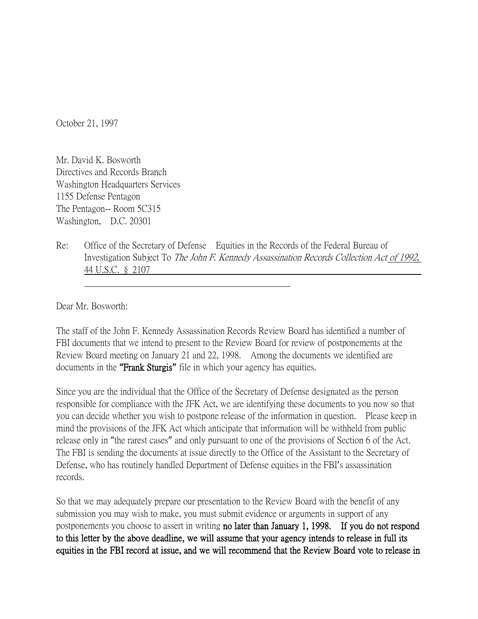October 21, 1997

Mr. David K. Bosworth Directives and Records Branch Washington Headquarters Services 1155 Defense Pentagon The Pentagon-- Room 5C315 Washington, D.C. 20301

Re: Office of the Secretary of Defense Equities in the Records of the Federal Bureau of Investigation Subject To The John F. Kennedy Assassination Records Collection Act of 1992, 44 U.S.C. § 2107

Dear Mr. Bosworth:

The staff of the John F. Kennedy Assassination Records Review Board has identified a number of FBI documents that we intend to present to the Review Board for review of postponements at the Review Board meeting on January 21 and 22, 1998. Among the documents we identified are documents in the **"**Frank Sturgis**"** file in which your agency has equities.

Since you are the individual that the Office of the Secretary of Defense designated as the person responsible for compliance with the JFK Act, we are identifying these documents to you now so that you can decide whether you wish to postpone release of the information in question. Please keep in mind the provisions of the JFK Act which anticipate that information will be withheld from public release only in "the rarest cases" and only pursuant to one of the provisions of Section 6 of the Act. The FBI is sending the documents at issue directly to the Office of the Assistant to the Secretary of Defense, who has routinely handled Department of Defense equities in the FBI's assassination records.

So that we may adequately prepare our presentation to the Review Board with the benefit of any submission you may wish to make, you must submit evidence or arguments in support of any postponements you choose to assert in writing no later than January 1, 1998. If you do not respond to this letter by the above deadline, we will assume that your agency intends to release in full its equities in the FBI record at issue, and we will recommend that the Review Board vote to release in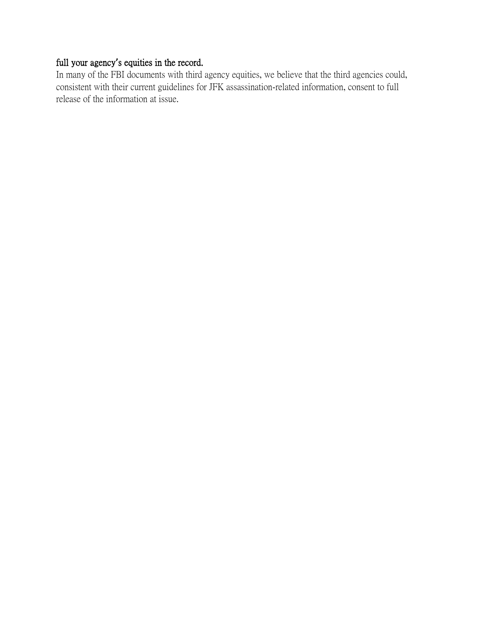## full your agency**'**s equities in the record.

In many of the FBI documents with third agency equities, we believe that the third agencies could, consistent with their current guidelines for JFK assassination-related information, consent to full release of the information at issue.